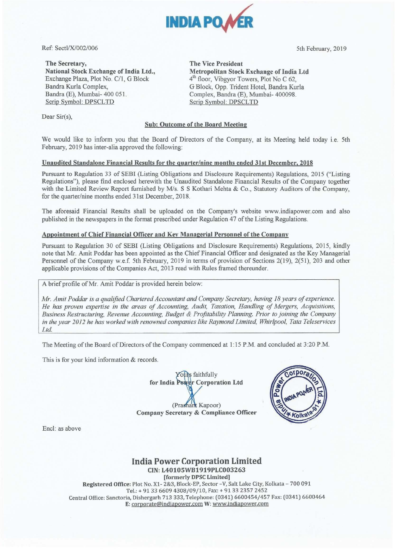

Ref: Sectl/X/002/006 5th February, 2019

The Secretary, The Vice President National Stock Exchange of India Ltd., Exchange Plaza, Plot No. C/1, G Block Bandra Kurla Complex, Bandra (E), Mumbai- 400 051. Scrip Symbol: DPSCLTD

Dear Sir(s),

Metropolitan Stock Exchange of India Ltd 4<sup>th</sup> floor, Vibgyor Towers, Plot No C 62, G Block, Opp. Trident Hotel, Bandra Kurla Complex, Bandra (E), Mumbai- 400098. Scrip Symbol: DPSCLTD

# Sub: Outcome of the Board Meeting

We would like to inform you that the Board of Directors of the Company, at its Meeting held today i.e. 5th February, 2019 has inter-alia approved the following:

## Unaudited Standalone Financial Results for the quarter/nine months ended 31st December, 2018

Pursuant to Regulation 33 of SEBI (Listing Obligations and Disclosure Requirements) Regulations, 2015 ("Listing Regulations"), please find enclosed herewith the Unaudited Standalone Financial Results of the Company together with the Limited Review Report furnished by M/s. S S Kothari Mehta & Co., Statutory Auditors of the Company, for the quarter/nine months ended 31st December, 2018.

The aforesaid Financial Results shall be uploaded on the Company's website www.indiapower.com and also published in the newspapers in the format prescribed under Regulation 47 of the Listing Regulations.

# Appointment of Chief Financial Officer and Key Managerial Personnel of the Company

Pursuant to Regulation 30 of SEBI (Listing Obligations and Disclosure Requirements) Regulations, 2015, kindly note that Mr. Amit Poddar has been appointed as the Chief Financial Officer and designated as the Key Managerial Personnel of the Company w.e.f. 5th February, 2019 in terms of provision of Sections 2(19), 2(51), 203 and other applicable provisions of the Companies Act, 2013 read with Rules framed thereunder.

A brief profile of Mr. Amit Poddar is provided herein below:

*Mr. Amit Poddar is a qualified Chartered Accountant and Company Secretary, having 18 years of experience. He has proven expertise in the areas of Accounting, Audit, Taxation, Handling of Mergers, Acquisitions, Business Restructuring, Revenue Accounting, Budget* & *Profitability Planning. Prior to joining the Company in the year 2012 he has worked with renowned companies like Raymond Limited, Whirlpool, Tata Teleservices*  Ltd.

The Meeting of the Board of Directors of the Company commenced at 1:15 P.M. and concluded at 3:20 P.M.

This is for your kind information & records.

s faithfully r Corporation Ltd for India (Prashant Kapoor) Company Secretary & Compliance Officer



Encl: as above

# **India Power Corporation Limited**  CIN:L40105\VB1919PLC003263

[formerly DPSC Limited] Registered Office: Plot No. X1- 2&3, Block-EP, Sector -V, Salt Lake City, Kolkata - 700 091 Tel.:+ 91 33 6609 4308/09/10, Fax: + 9133 2357 2452 Central Office: Sanctoria, Dishergarh 713 333, Telephone: (0341) 6600454/457 Fax: (0341) 6600464 E: corporate@indiapower.com W: www.indiapower.com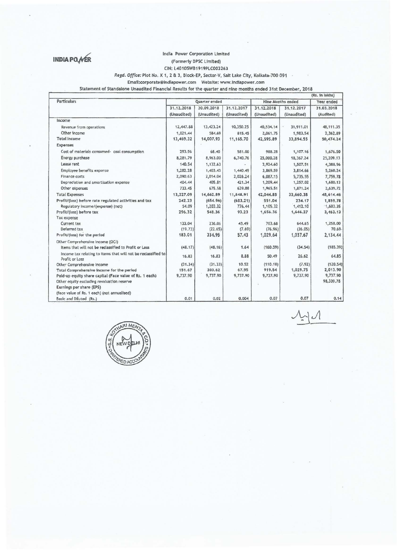

#### INDIA PO VER India Power Corporation Limited (Formerly DPSC Limited) (Formerly DPSC Limited)

# CJN: L40105WB 1919PLC003263

*Re!Jd. Office:* Plot No. X 1, 2 a 3, Block-EP, Sector-V, Salt Lake City, Kolkata-700 091

Email:corporate@indiapower.com Website: www.tndlapower.com

Statement of Standalone Unaudited Financial Results for the quarter and nine months ended 31st December, 2018

|                                                                                 |                           |                           |                           |                           |                           | (Rs. in lakhs)          |
|---------------------------------------------------------------------------------|---------------------------|---------------------------|---------------------------|---------------------------|---------------------------|-------------------------|
| <b>Particulars</b>                                                              | Quarter ended             |                           |                           | <b>Nine Months ended</b>  |                           | Year ended              |
|                                                                                 | 31.12.2018<br>(Unaudited) | 30.09.2018<br>(Unaudited) | 31.12.2017<br>(Unaudited) | 31.12.2018<br>(Unaudited) | 31.12.2017<br>(Unaudited) | 31.03.2018<br>(Audited) |
|                                                                                 |                           |                           |                           |                           |                           |                         |
| Revenue from operations                                                         | 12,447.88                 | 13,423.24                 | 10,350.25                 | 40,534.14                 | 31,911.01                 | 48, 111.35              |
| Other income                                                                    | 1.021.44                  | 584.69                    | 815.45                    | 2,061.75                  | 1,983.54                  | 2,362.89                |
| <b>Total Income</b>                                                             | 13,469.32                 | 14,007.93                 | 11, 165, 70               | 42,595.89                 | 33,894.55                 | 50,474.24               |
| Expenses                                                                        |                           |                           |                           |                           |                           |                         |
| Cost of materials consumed- coal consumption                                    | 293.96                    | 68.40                     | 581.00                    | 988.28                    | 1,107.16                  | 1,676.50                |
| Energy purchase                                                                 | 8,281.79                  | 8,963.00                  | 6,740.76                  | 25,000.28                 | 18,367.24                 | 25,209.13               |
| Lease rent                                                                      | 140.54                    | 1,132.63                  |                           | 2,924.60                  | 1,507.51                  | 4,388.96                |
| Employee benefits expense                                                       | 1,282.28                  | 1,403.43                  | 1,440.49                  | 3,869.59                  | 3,814.66                  | 5,260.24                |
| Finance costs                                                                   | 2,090.63                  | 2,014.04                  | 2,026.24                  | 6,087.15                  | 5,735.55                  | 7,759.78                |
| Depreciation and amortisation expense                                           | 404.44                    | 405.81                    | 421.34                    | 1,209.44                  | 1,257.02                  | 1,680.13                |
| Other expenses                                                                  | 733.45                    | 675.58                    | 639.08                    | 1,965.51                  | 1,871.24                  | 2,639.72                |
| <b>Total Expenses</b>                                                           | 13,227.09                 | 14,662.89                 | 11,848.91                 | 42,044.85                 | 33,660.38                 | 48,614.46               |
| Profit/(loss) before rate regulated activities and tax                          | 242.23                    | (654.96)                  | (683.21)                  | 551.04                    | 234.17                    | 1,859.78                |
| Regulatory income/(expense) (net)                                               | 54.09                     | 1,203.32                  | 776.44                    | 1,105.32                  | 1,412.10                  | 1,603.35                |
| Profit/(loss) before tax                                                        | 296.32                    | 548.36                    | 93.23                     | 1,656.36                  | 1,646.27                  | 3,463.13                |
| Tax expense                                                                     |                           |                           |                           |                           |                           |                         |
| Current tax                                                                     | 133.04                    | 236.06                    | 43.49                     | 703.68                    | 644.65                    | 1,258.00                |
| Deferred tax                                                                    | (19.73)                   | (22.65)                   | (7.69)                    | (76.96)                   | (36.05)                   | 70.69.                  |
| Profit/(loss) for the period                                                    | 183,01                    | 334,95                    | 57,43                     | 1,029.64                  | 1,037.67                  | 2,134.44                |
| Other Comprehensive Income (QCI)                                                |                           |                           |                           |                           |                           |                         |
| Items that will not be reclassified to Profit or Loss                           | (48.17)                   | (48.16)                   | 1.64                      | (160.59)                  | (34.54)                   | (185.39)                |
| Income tax relating to items that will not be reclassified to<br>Profit or Loss | 16.83                     | 16.83                     | 8.88                      | 50.49                     | 26.62                     | 64.85                   |
| Other Comprehensive Income                                                      | (31.34)                   | (31, 33)                  | 10.52                     | (110.10)                  | (7.92)                    | (120.54)                |
| Total Comprehensive income for the period                                       | 151.67                    | 303.62                    | 67.95                     | 919.54                    | 1,029.75                  | 2,013.90                |
| Paid-up equity share capital (Face value of Rs. 1 each)                         | 9,737.90                  | 9,737.90                  | 9,737.90                  | 9,737.90                  | 9,737.90                  | 9,737.90                |
| Other equity excluding revaluation reserve                                      |                           |                           |                           |                           |                           | 98,339.78               |
| Earnings per share (EPS)                                                        |                           |                           |                           |                           |                           |                         |
| (face value of Rs. 1 each) (not annualised)                                     |                           |                           |                           |                           |                           |                         |
| Basic and Diluted (Rs.)                                                         | 0.01                      | 0.02                      | 0.004                     | 0.07                      | 0.07                      | 0.14                    |



 $\sim$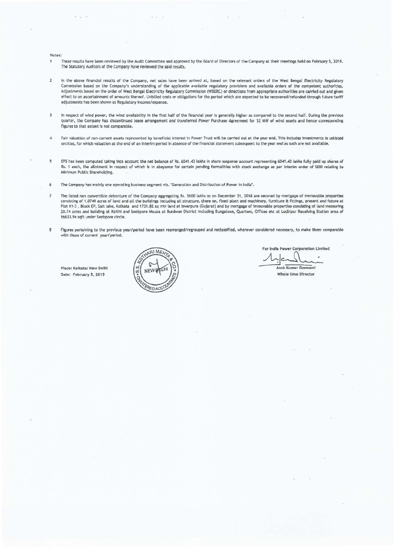Notes:

- $\mathbf{1}$ These results have been reviewed by the Audit Committee and approved by the Board of Directors of the Company at their meet1ngs held on February 5, 2019. The Statutory Auditors of the Company have reviewed the said results.
- $\overline{2}$ In the above financial results of the Company, net sales have been arrived at, based on the relevant orders of the West Bengal Electricity Regulatory Commission based on the Company's understanding of the applicable available regulatory provisions and available orders of the competent authorities. Adjustments based on the order of West Bengal Electricity Regulatory Commission (WBERC) or directions from appropriate authorities are carried out and given effect to on ascertainment of amounts thereof. Unbilled costs or obligations for the period which are expected to be recovered/refunded through future tariff adjustments has been shown as Regulatory income/ expense.
- In respect of wind power, the wind availability in the first half of the financial year is generally higher as compared to the second half. During the previous  $\overline{3}$ quarter, the Company has discontinued lease arrangement and transferred Power Purchase Agreement for 52 MW of wind assets and hence corresponding figures to that extent is not comparable.
- *4* ~air valuation of non-cUtrent assets represented *by* beneficial interest in Power Trust will be carried out at the year end. This Includes investments In unlisted entities, for which valuation at the end of an interim period in absence of the financial statement subsequent to the year end as such are not available.
- 5 EPS has been computed taking into account the net balance of Rs. 6041.43 lakhs in share suspense account representing 6041.43 lakhs fully paid up shares of Rs. 1 each, the allotment in respect of which is in abeyance for certain pending formalities with stock exchange as per interim order of SEBI relating to Minimum Public Shareholding.
- 6 The Company has mainly one operating business segment viz. "Generation and Distribution of Power in India".
- $\overline{7}$ The listed non convertible debenture of the Company aggregating Rs. 5600 lakhs as on December 31, 2018 are secured by mortgage of Immovable properties consisting of 1.0749 acres of land and all the buildings including all structure, there on, fixed plant and machinery, furniture & fittings, present and future at<br>Plot X1-3 , Block EP, Salt lake, Kolkata and 1731.82 sq mtr 20.74 acres and building at Kaithi and Seebpore Mouza at Burdwan District including Bungalows, Quarters, Offices etc at Luchipur Receiving Station area of 56633.94 sqft under Seebpore circle.
- Figures pertaining to the previous year/period have been rearranged/regrouped and reclassified, wherever considered necessary, to make them comparable  $\overline{8}$ with those of current year/period.

Place: Kolkata/ New Delhi Date; February 5, 2019



For India Power Corporation Limited A<br>Asok Kumar Goswarni

Whole time Director